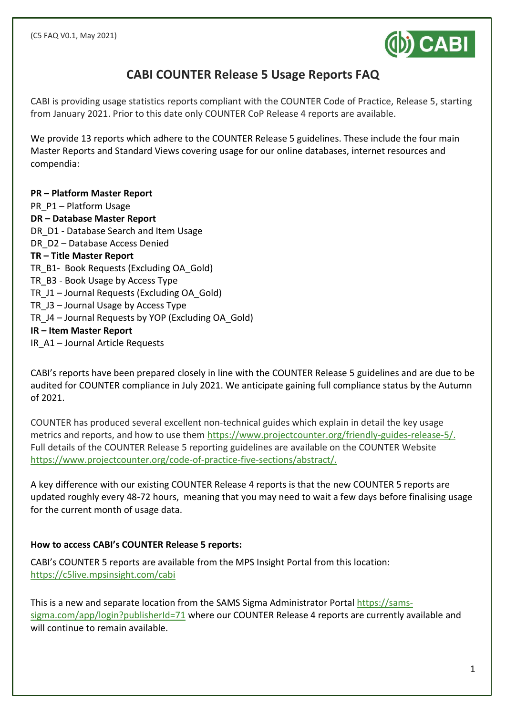

# **CABI COUNTER Release 5 Usage Reports FAQ**

CABI is providing usage statistics reports compliant with the COUNTER Code of Practice, Release 5, starting from January 2021. Prior to this date only COUNTER CoP Release 4 reports are available.

We provide 13 reports which adhere to the COUNTER Release 5 guidelines. These include the four main Master Reports and Standard Views covering usage for our online databases, internet resources and compendia:

**PR – Platform Master Report** PR P1 – Platform Usage **DR – Database Master Report** DR D1 - Database Search and Item Usage DR D2 – Database Access Denied **TR – Title Master Report** TR\_B1- Book Requests (Excluding OA\_Gold) TR\_B3 - Book Usage by Access Type TR\_J1 – Journal Requests (Excluding OA\_Gold) TR\_J3 – Journal Usage by Access Type TR\_J4 – Journal Requests by YOP (Excluding OA\_Gold) **IR – Item Master Report** IR\_A1 – Journal Article Requests

CABI's reports have been prepared closely in line with the COUNTER Release 5 guidelines and are due to be audited for COUNTER compliance in July 2021. We anticipate gaining full compliance status by the Autumn of 2021.

COUNTER has produced several excellent non-technical guides which explain in detail the key usage metrics and reports, and how to use them [https://www.projectcounter.org/friendly-guides-release-5/.](https://www.projectcounter.org/friendly-guides-release-5/) Full details of the COUNTER Release 5 reporting guidelines are available on the COUNTER Website [https://www.projectcounter.org/code-of-practice-five-sections/abstract/.](https://www.projectcounter.org/code-of-practice-five-sections/abstract/)

A key difference with our existing COUNTER Release 4 reports is that the new COUNTER 5 reports are updated roughly every 48-72 hours, meaning that you may need to wait a few days before finalising usage for the current month of usage data.

## **How to access CABI's COUNTER Release 5 reports:**

CABI's COUNTER 5 reports are available from the MPS Insight Portal from this location: <https://c5live.mpsinsight.com/cabi>

This is a new and separate location from the SAMS Sigma Administrator Portal [https://sams](https://sams-sigma.com/app/login?publisherId=71)[sigma.com/app/login?publisherId=71](https://sams-sigma.com/app/login?publisherId=71) where our COUNTER Release 4 reports are currently available and will continue to remain available.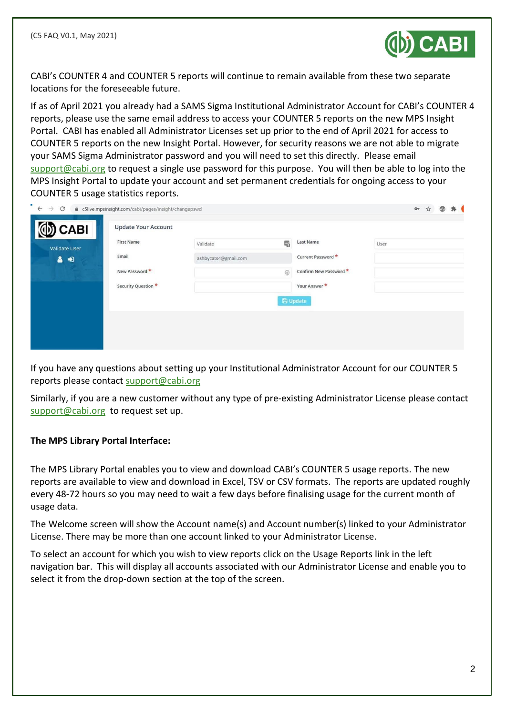

CABI's COUNTER 4 and COUNTER 5 reports will continue to remain available from these two separate locations for the foreseeable future.

If as of April 2021 you already had a SAMS Sigma Institutional Administrator Account for CABI's COUNTER 4 reports, please use the same email address to access your COUNTER 5 reports on the new MPS Insight Portal. CABI has enabled all Administrator Licenses set up prior to the end of April 2021 for access to COUNTER 5 reports on the new Insight Portal. However, for security reasons we are not able to migrate your SAMS Sigma Administrator password and you will need to set this directly. Please email [support@cabi.org](mailto:support@cabi.org) to request a single use password for this purpose. You will then be able to log into the MPS Insight Portal to update your account and set permanent credentials for ongoing access to your COUNTER 5 usage statistics reports.

| <b>Validate User</b><br>Email<br>Current Password *<br>ashbycats4@gmail.com<br>昌田<br>Confirm New Password *<br>New Password *<br>$\bigcirc$<br>Security Question *<br>Your Answer * | <b>D</b> CABI | <b>First Name</b> | Validate | 喝 | Last Name | User |  |  |
|-------------------------------------------------------------------------------------------------------------------------------------------------------------------------------------|---------------|-------------------|----------|---|-----------|------|--|--|
|                                                                                                                                                                                     |               |                   |          |   |           |      |  |  |
|                                                                                                                                                                                     |               |                   |          |   |           |      |  |  |
|                                                                                                                                                                                     |               |                   |          |   |           |      |  |  |
| <b>E</b> Update                                                                                                                                                                     |               |                   |          |   |           |      |  |  |

If you have any questions about setting up your Institutional Administrator Account for our COUNTER 5 reports please contact [support@cabi.org](mailto:support@cabi.org)

Similarly, if you are a new customer without any type of pre-existing Administrator License please contact [support@cabi.org](mailto:support@cabi.org) to request set up.

#### **The MPS Library Portal Interface:**

The MPS Library Portal enables you to view and download CABI's COUNTER 5 usage reports. The new reports are available to view and download in Excel, TSV or CSV formats. The reports are updated roughly every 48-72 hours so you may need to wait a few days before finalising usage for the current month of usage data.

The Welcome screen will show the Account name(s) and Account number(s) linked to your Administrator License. There may be more than one account linked to your Administrator License.

To select an account for which you wish to view reports click on the Usage Reports link in the left navigation bar. This will display all accounts associated with our Administrator License and enable you to select it from the drop-down section at the top of the screen.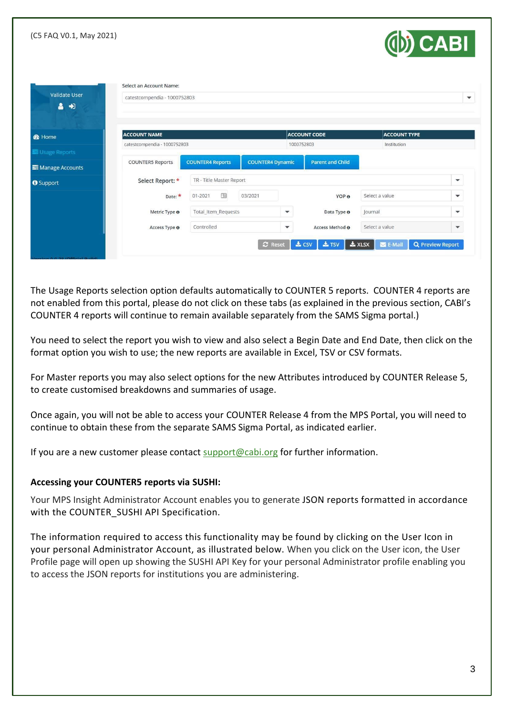| (C5 FAQ V0.1, May 2021)        |                              |                          |                         |              |                         | <b>OD</b> CABI      |                          |
|--------------------------------|------------------------------|--------------------------|-------------------------|--------------|-------------------------|---------------------|--------------------------|
|                                | Select an Account Name:      |                          |                         |              |                         |                     |                          |
| <b>Validate User</b><br>Δ<br>中 | catestcompendia - 1000752803 |                          |                         |              |                         |                     |                          |
| <b>&amp;</b> Home              | <b>ACCOUNT NAME</b>          |                          |                         |              | <b>ACCOUNT CODE</b>     | <b>ACCOUNT TYPE</b> |                          |
| Usage Reports                  | catestcompendia - 1000752803 |                          |                         | 1000752803   |                         | Institution         |                          |
| Manage Accounts                | <b>COUNTER5 Reports</b>      | <b>COUNTER4 Reports</b>  | <b>COUNTER4 Dynamic</b> |              | <b>Parent and Child</b> |                     |                          |
| <b>O</b> Support               | Select Report: *             | TR - Title Master Report |                         |              |                         |                     | $\blacktriangledown$     |
|                                | Date:                        | 国<br>01-2021             | 03/2021                 |              | YOP O                   | Select a value      | $\overline{\phantom{a}}$ |
|                                | Metric Type <sup>o</sup>     | Total_Item_Requests      |                         | $\mathbf{v}$ | Data Type <sup>o</sup>  | Journal             | ▼                        |
|                                |                              |                          |                         |              |                         | Select a value      |                          |

The Usage Reports selection option defaults automatically to COUNTER 5 reports. COUNTER 4 reports are not enabled from this portal, please do not click on these tabs (as explained in the previous section, CABI's COUNTER 4 reports will continue to remain available separately from the SAMS Sigma portal.)

You need to select the report you wish to view and also select a Begin Date and End Date, then click on the format option you wish to use; the new reports are available in Excel, TSV or CSV formats.

For Master reports you may also select options for the new Attributes introduced by COUNTER Release 5, to create customised breakdowns and summaries of usage.

Once again, you will not be able to access your COUNTER Release 4 from the MPS Portal, you will need to continue to obtain these from the separate SAMS Sigma Portal, as indicated earlier.

If you are a new customer please contact [support@cabi.org](mailto:support@cabi.org) for further information.

#### **Accessing your COUNTER5 reports via SUSHI:**

Your MPS Insight Administrator Account enables you to generate JSON reports formatted in accordance with the COUNTER SUSHI API Specification.

The information required to access this functionality may be found by clicking on the User Icon in your personal Administrator Account, as illustrated below. When you click on the User icon, the User Profile page will open up showing the SUSHI API Key for your personal Administrator profile enabling you to access the JSON reports for institutions you are administering.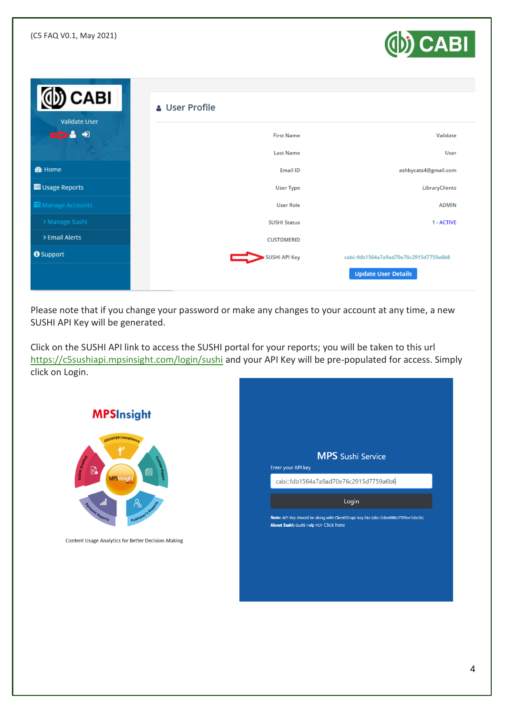

| <b>CABI</b><br><b>Validate User</b> | <b>&amp; User Profile</b> |                                        |
|-------------------------------------|---------------------------|----------------------------------------|
| $\bigstar$<br>╼                     | <b>First Name</b>         | Validate                               |
|                                     | <b>Last Name</b>          | User                                   |
| <b>B</b> Home                       | Email ID                  | ashbycats4@gmail.com                   |
| Usage Reports                       | <b>User Type</b>          | LibraryClients                         |
| Manage Accounts                     | <b>User Role</b>          | <b>ADMIN</b>                           |
| > Manage Sushi                      | <b>SUSHI Status</b>       | 1 - ACTIVE                             |
| > Email Alerts                      | <b>CUSTOMERID</b>         |                                        |
| <b>O</b> Support                    | <b>SUSHI API Key</b>      | cabi::fdb1564a7a9ad70e76c2915d7759a6b8 |
|                                     |                           | <b>Update User Details</b>             |

Please note that if you change your password or make any changes to your account at any time, a new SUSHI API Key will be generated.

Click on the SUSHI API link to access the SUSHI portal for your reports; you will be taken to this url <https://c5sushiapi.mpsinsight.com/login/sushi> and your API Key will be pre-populated for access. Simply click on Login.

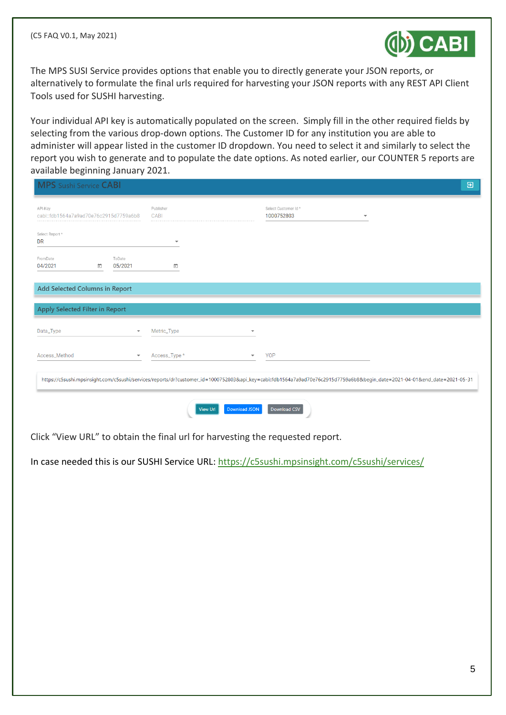

The MPS SUSI Service provides options that enable you to directly generate your JSON reports, or alternatively to formulate the final urls required for harvesting your JSON reports with any REST API Client Tools used for SUSHI harvesting.

Your individual API key is automatically populated on the screen. Simply fill in the other required fields by selecting from the various drop-down options. The Customer ID for any institution you are able to administer will appear listed in the customer ID dropdown. You need to select it and similarly to select the report you wish to generate and to populate the date options. As noted earlier, our COUNTER 5 reports are available beginning January 2021.

| API-Key<br>cabi::fdb1564a7a9ad70e76c2915d7759a6b8 |                          | Publisher<br>CABI        | Select Customer Id*<br>1000752803 |  |
|---------------------------------------------------|--------------------------|--------------------------|-----------------------------------|--|
| Select Report *<br><b>DR</b>                      |                          | $\overline{\phantom{a}}$ |                                   |  |
| FromDate<br>04/2021                               | ToDate<br>ö<br>05/2021   | $\Box$                   |                                   |  |
| Add Selected Columns in Report                    |                          |                          |                                   |  |
| Apply Selected Filter in Report                   |                          |                          |                                   |  |
| Data_Type                                         | $\overline{\phantom{a}}$ | Metric_Type              |                                   |  |
|                                                   | $\overline{\phantom{a}}$ | Access_Type *            | <b>YOP</b>                        |  |
| Access_Method                                     |                          |                          |                                   |  |

Click "View URL" to obtain the final url for harvesting the requested report.

In case needed this is our SUSHI Service URL[: https://c5sushi.mpsinsight.com/c5sushi/services/](https://c5sushi.mpsinsight.com/c5sushi/services/)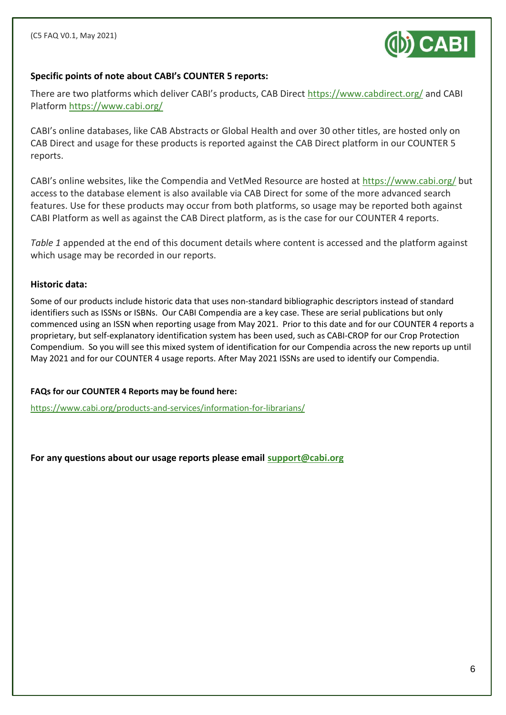

### **Specific points of note about CABI's COUNTER 5 reports:**

There are two platforms which deliver CABI's products, CAB Direct <https://www.cabdirect.org/> and CABI Platform<https://www.cabi.org/>

CABI's online databases, like CAB Abstracts or Global Health and over 30 other titles, are hosted only on CAB Direct and usage for these products is reported against the CAB Direct platform in our COUNTER 5 reports.

CABI's online websites, like the Compendia and VetMed Resource are hosted at <https://www.cabi.org/> but access to the database element is also available via CAB Direct for some of the more advanced search features. Use for these products may occur from both platforms, so usage may be reported both against CABI Platform as well as against the CAB Direct platform, as is the case for our COUNTER 4 reports.

*Table 1* appended at the end of this document details where content is accessed and the platform against which usage may be recorded in our reports.

#### **Historic data:**

Some of our products include historic data that uses non-standard bibliographic descriptors instead of standard identifiers such as ISSNs or ISBNs. Our CABI Compendia are a key case. These are serial publications but only commenced using an ISSN when reporting usage from May 2021. Prior to this date and for our COUNTER 4 reports a proprietary, but self-explanatory identification system has been used, such as CABI-CROP for our Crop Protection Compendium. So you will see this mixed system of identification for our Compendia across the new reports up until May 2021 and for our COUNTER 4 usage reports. After May 2021 ISSNs are used to identify our Compendia.

#### **FAQs for our COUNTER 4 Reports may be found here:**

<https://www.cabi.org/products-and-services/information-for-librarians/>

**For any questions about our usage reports please email [support@cabi.org](mailto:support@cabi.org)**